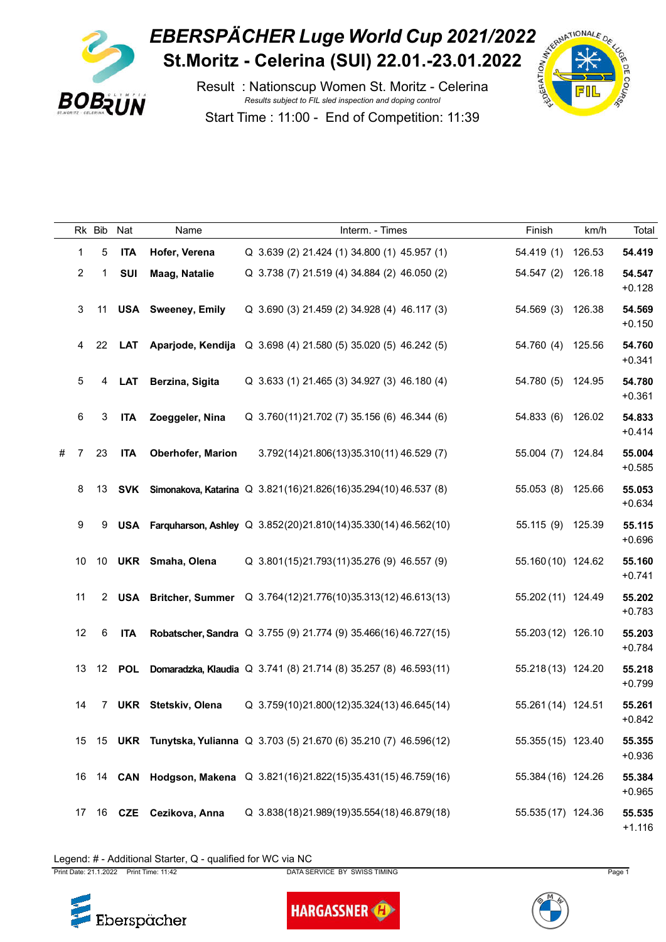

## **EBERSPÄCHER Luge World Cup 2021/2022**<br>St.Moritz - Celerina (SUI) 22.01.-23.01.2022 **St.Moritz - Celerina (SUI) 22.01.-23.01.2022**

Result : Nationscup Women St. Moritz - Celerina *Results subject to FIL sled inspection and doping control* Start Time : 11:00 - End of Competition: 11:39



|   |                           | Rk Bib         | Nat        | Name                      | Interm. - Times                                                          | Finish             | km/h   | Total              |
|---|---------------------------|----------------|------------|---------------------------|--------------------------------------------------------------------------|--------------------|--------|--------------------|
|   | 1                         | 5              | <b>ITA</b> | Hofer, Verena             | Q 3.639 (2) 21.424 (1) 34.800 (1) 45.957 (1)                             | 54.419 (1) 126.53  |        | 54.419             |
|   | $\overline{2}$            | $\mathbf{1}$   | SUI        | <b>Maag, Natalie</b>      | Q 3.738 (7) 21.519 (4) 34.884 (2) 46.050 (2)                             | 54.547 (2) 126.18  |        | 54.547<br>$+0.128$ |
|   | $\ensuremath{\mathsf{3}}$ | 11             |            | <b>USA</b> Sweeney, Emily | Q 3.690 (3) 21.459 (2) 34.928 (4) 46.117 (3)                             | 54.569 (3) 126.38  |        | 54.569<br>$+0.150$ |
|   | 4                         | 22             |            |                           | LAT Aparjode, Kendija Q 3.698 (4) 21.580 (5) 35.020 (5) 46.242 (5)       | 54.760 (4) 125.56  |        | 54.760<br>$+0.341$ |
|   | 5                         | 4              | <b>LAT</b> | Berzina, Sigita           | Q 3.633 (1) 21.465 (3) 34.927 (3) 46.180 (4)                             | 54.780 (5) 124.95  |        | 54.780<br>$+0.361$ |
|   | $\,6\,$                   | 3              | <b>ITA</b> | Zoeggeler, Nina           | Q 3.760(11)21.702 (7) 35.156 (6) 46.344 (6)                              | 54.833 (6) 126.02  |        | 54.833<br>$+0.414$ |
| # | 7                         | 23             | <b>ITA</b> | <b>Oberhofer, Marion</b>  | 3.792(14)21.806(13)35.310(11) 46.529(7)                                  | 55.004 (7)         | 124.84 | 55.004<br>$+0.585$ |
|   | 8                         | 13             |            |                           | SVK Simonakova, Katarina Q 3.821(16)21.826(16)35.294(10)46.537 (8)       | 55.053 (8) 125.66  |        | 55.053<br>$+0.634$ |
|   | $\boldsymbol{9}$          | 9              |            |                           | USA Farquharson, Ashley Q 3.852(20)21.810(14)35.330(14)46.562(10)        | 55.115 (9) 125.39  |        | 55.115<br>$+0.696$ |
|   | 10                        |                |            | 10 UKR Smaha, Olena       | Q 3.801(15)21.793(11)35.276 (9) 46.557 (9)                               | 55.160 (10) 124.62 |        | 55.160<br>$+0.741$ |
|   | 11                        |                |            |                           | 2 USA Britcher, Summer Q 3.764(12)21.776(10)35.313(12) 46.613(13)        | 55.202 (11) 124.49 |        | 55.202<br>$+0.783$ |
|   | 12                        | $\,6\,$        | <b>ITA</b> |                           | <b>Robatscher, Sandra</b> Q 3.755 (9) 21.774 (9) 35.466(16) 46.727(15)   | 55.203 (12) 126.10 |        | 55.203<br>$+0.784$ |
|   | 13                        |                |            |                           | 12 POL Domaradzka, Klaudia Q 3.741 (8) 21.714 (8) 35.257 (8) 46.593 (11) | 55.218 (13) 124.20 |        | 55.218<br>$+0.799$ |
|   | 14                        | $7\phantom{.}$ | UKR        | Stetskiv, Olena           | Q 3.759(10)21.800(12)35.324(13)46.645(14)                                | 55.261 (14) 124.51 |        | 55.261<br>$+0.842$ |
|   | 15                        |                |            |                           | 15 UKR Tunytska, Yulianna Q 3.703 (5) 21.670 (6) 35.210 (7) 46.596 (12)  | 55.355 (15) 123.40 |        | 55.355<br>$+0.936$ |
|   | 16                        |                |            |                           | 14 CAN Hodgson, Makena Q 3.821(16)21.822(15)35.431(15)46.759(16)         | 55.384 (16) 124.26 |        | 55.384<br>$+0.965$ |
|   | 17                        |                |            | 16 CZE Cezikova, Anna     | Q 3.838(18)21.989(19)35.554(18)46.879(18)                                | 55.535 (17) 124.36 |        | 55.535<br>$+1.116$ |

Legend: # - Additional Starter, Q - qualified for WC via NC



**HARGASSNER**